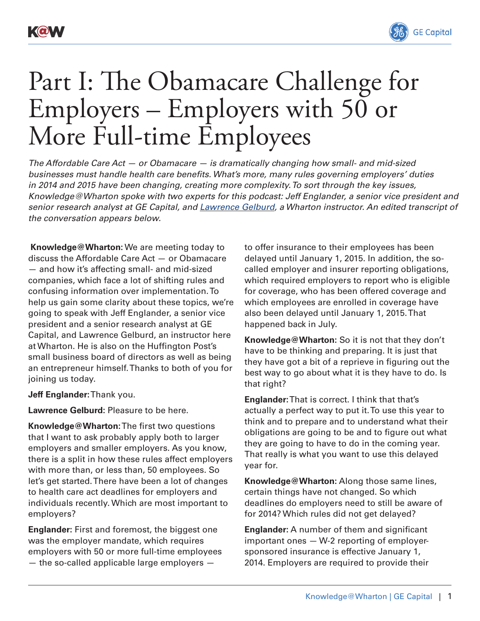



## Part I: The Obamacare Challenge for Employers – Employers with 50 or More Full-time Employees

*The Affordable Care Act — or Obamacare — is dramatically changing how small- and mid-sized businesses must handle health care benefits. What's more, many rules governing employers' duties in 2014 and 2015 have been changing, creating more complexity. To sort through the key issues, Knowledge@Wharton spoke with two experts for this podcast: Jeff Englander, a senior vice president and senior research analyst at GE Capital, and [Lawrence Gelburd](http://whartonsbdc.wharton.upenn.edu/instructorbios.html#gelburd), a Wharton instructor. An edited transcript of the conversation appears below.*

**Knowledge@Wharton:** We are meeting today to discuss the Affordable Care Act — or Obamacare — and how it's affecting small- and mid-sized companies, which face a lot of shifting rules and confusing information over implementation. To help us gain some clarity about these topics, we're going to speak with Jeff Englander, a senior vice president and a senior research analyst at GE Capital, and Lawrence Gelburd, an instructor here at Wharton. He is also on the Huffington Post's small business board of directors as well as being an entrepreneur himself. Thanks to both of you for joining us today.

**Jeff Englander:** Thank you.

**Lawrence Gelburd:** Pleasure to be here.

**Knowledge@Wharton:** The first two questions that I want to ask probably apply both to larger employers and smaller employers. As you know, there is a split in how these rules affect employers with more than, or less than, 50 employees. So let's get started. There have been a lot of changes to health care act deadlines for employers and individuals recently. Which are most important to employers?

**Englander:** First and foremost, the biggest one was the employer mandate, which requires employers with 50 or more full-time employees — the so-called applicable large employers —

to offer insurance to their employees has been delayed until January 1, 2015. In addition, the socalled employer and insurer reporting obligations, which required employers to report who is eligible for coverage, who has been offered coverage and which employees are enrolled in coverage have also been delayed until January 1, 2015. That happened back in July.

**Knowledge@Wharton:** So it is not that they don't have to be thinking and preparing. It is just that they have got a bit of a reprieve in figuring out the best way to go about what it is they have to do. Is that right?

**Englander:** That is correct. I think that that's actually a perfect way to put it. To use this year to think and to prepare and to understand what their obligations are going to be and to figure out what they are going to have to do in the coming year. That really is what you want to use this delayed year for.

**Knowledge@Wharton:** Along those same lines, certain things have not changed. So which deadlines do employers need to still be aware of for 2014? Which rules did not get delayed?

**Englander:** A number of them and significant important ones — W-2 reporting of employersponsored insurance is effective January 1, 2014. Employers are required to provide their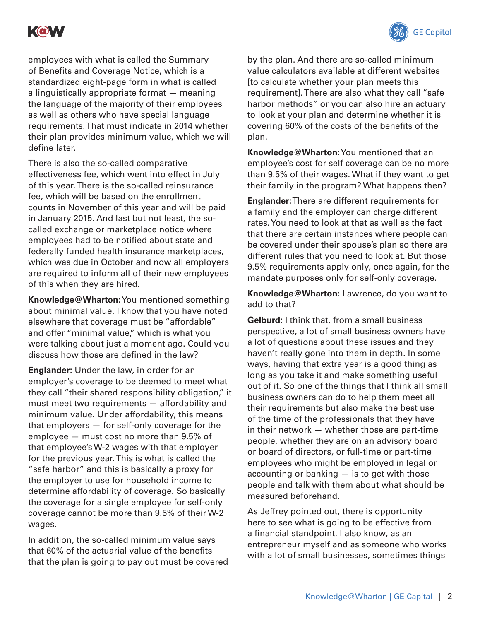



employees with what is called the Summary of Benefits and Coverage Notice, which is a standardized eight-page form in what is called a linguistically appropriate format — meaning the language of the majority of their employees as well as others who have special language requirements. That must indicate in 2014 whether their plan provides minimum value, which we will define later.

There is also the so-called comparative effectiveness fee, which went into effect in July of this year. There is the so-called reinsurance fee, which will be based on the enrollment counts in November of this year and will be paid in January 2015. And last but not least, the socalled exchange or marketplace notice where employees had to be notified about state and federally funded health insurance marketplaces, which was due in October and now all employers are required to inform all of their new employees of this when they are hired.

**Knowledge@Wharton:** You mentioned something about minimal value. I know that you have noted elsewhere that coverage must be "affordable" and offer "minimal value," which is what you were talking about just a moment ago. Could you discuss how those are defined in the law?

**Englander:** Under the law, in order for an employer's coverage to be deemed to meet what they call "their shared responsibility obligation," it must meet two requirements — affordability and minimum value. Under affordability, this means that employers — for self-only coverage for the employee — must cost no more than 9.5% of that employee's W-2 wages with that employer for the previous year. This is what is called the "safe harbor" and this is basically a proxy for the employer to use for household income to determine affordability of coverage. So basically the coverage for a single employee for self-only coverage cannot be more than 9.5% of their W-2 wages.

In addition, the so-called minimum value says that 60% of the actuarial value of the benefits that the plan is going to pay out must be covered by the plan. And there are so-called minimum value calculators available at different websites [to calculate whether your plan meets this requirement]. There are also what they call "safe harbor methods" or you can also hire an actuary to look at your plan and determine whether it is covering 60% of the costs of the benefits of the plan.

**Knowledge@Wharton:** You mentioned that an employee's cost for self coverage can be no more than 9.5% of their wages. What if they want to get their family in the program? What happens then?

**Englander:** There are different requirements for a family and the employer can charge different rates. You need to look at that as well as the fact that there are certain instances where people can be covered under their spouse's plan so there are different rules that you need to look at. But those 9.5% requirements apply only, once again, for the mandate purposes only for self-only coverage.

**Knowledge@Wharton:** Lawrence, do you want to add to that?

**Gelburd:** I think that, from a small business perspective, a lot of small business owners have a lot of questions about these issues and they haven't really gone into them in depth. In some ways, having that extra year is a good thing as long as you take it and make something useful out of it. So one of the things that I think all small business owners can do to help them meet all their requirements but also make the best use of the time of the professionals that they have in their network — whether those are part-time people, whether they are on an advisory board or board of directors, or full-time or part-time employees who might be employed in legal or accounting or banking — is to get with those people and talk with them about what should be measured beforehand.

As Jeffrey pointed out, there is opportunity here to see what is going to be effective from a financial standpoint. I also know, as an entrepreneur myself and as someone who works with a lot of small businesses, sometimes things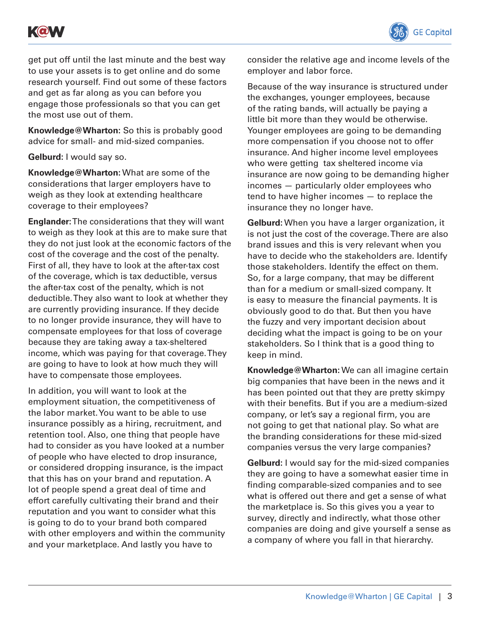



get put off until the last minute and the best way to use your assets is to get online and do some research yourself. Find out some of these factors and get as far along as you can before you engage those professionals so that you can get the most use out of them.

**Knowledge@Wharton:** So this is probably good advice for small- and mid-sized companies.

**Gelburd:** I would say so.

**Knowledge@Wharton:** What are some of the considerations that larger employers have to weigh as they look at extending healthcare coverage to their employees?

**Englander:** The considerations that they will want to weigh as they look at this are to make sure that they do not just look at the economic factors of the cost of the coverage and the cost of the penalty. First of all, they have to look at the after-tax cost of the coverage, which is tax deductible, versus the after-tax cost of the penalty, which is not deductible. They also want to look at whether they are currently providing insurance. If they decide to no longer provide insurance, they will have to compensate employees for that loss of coverage because they are taking away a tax-sheltered income, which was paying for that coverage. They are going to have to look at how much they will have to compensate those employees.

In addition, you will want to look at the employment situation, the competitiveness of the labor market. You want to be able to use insurance possibly as a hiring, recruitment, and retention tool. Also, one thing that people have had to consider as you have looked at a number of people who have elected to drop insurance, or considered dropping insurance, is the impact that this has on your brand and reputation. A lot of people spend a great deal of time and effort carefully cultivating their brand and their reputation and you want to consider what this is going to do to your brand both compared with other employers and within the community and your marketplace. And lastly you have to

consider the relative age and income levels of the employer and labor force.

Because of the way insurance is structured under the exchanges, younger employees, because of the rating bands, will actually be paying a little bit more than they would be otherwise. Younger employees are going to be demanding more compensation if you choose not to offer insurance. And higher income level employees who were getting tax sheltered income via insurance are now going to be demanding higher incomes — particularly older employees who tend to have higher incomes — to replace the insurance they no longer have.

**Gelburd:** When you have a larger organization, it is not just the cost of the coverage. There are also brand issues and this is very relevant when you have to decide who the stakeholders are. Identify those stakeholders. Identify the effect on them. So, for a large company, that may be different than for a medium or small-sized company. It is easy to measure the financial payments. It is obviously good to do that. But then you have the fuzzy and very important decision about deciding what the impact is going to be on your stakeholders. So I think that is a good thing to keep in mind.

**Knowledge@Wharton:** We can all imagine certain big companies that have been in the news and it has been pointed out that they are pretty skimpy with their benefits. But if you are a medium-sized company, or let's say a regional firm, you are not going to get that national play. So what are the branding considerations for these mid-sized companies versus the very large companies?

**Gelburd:** I would say for the mid-sized companies they are going to have a somewhat easier time in finding comparable-sized companies and to see what is offered out there and get a sense of what the marketplace is. So this gives you a year to survey, directly and indirectly, what those other companies are doing and give yourself a sense as a company of where you fall in that hierarchy.